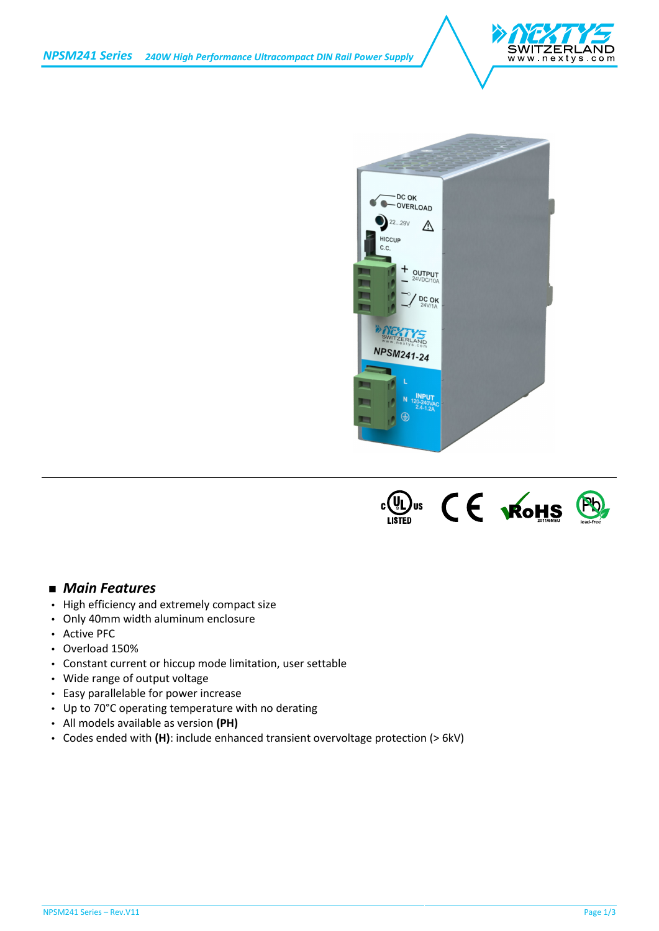





# *Main Features*

- $\int$  High efficiency and extremely compact size
- Only 40mm width aluminum enclosure
- Active PFC
- Overload 150%
- Constant current or hiccup mode limitation, user settable
- Wide range of output voltage
- Easy parallelable for power increase
- Up to 70°C operating temperature with no derating
- All models available as version **(PH)**
- Codes ended with **(H)**: include enhanced transient overvoltage protection (> 6kV)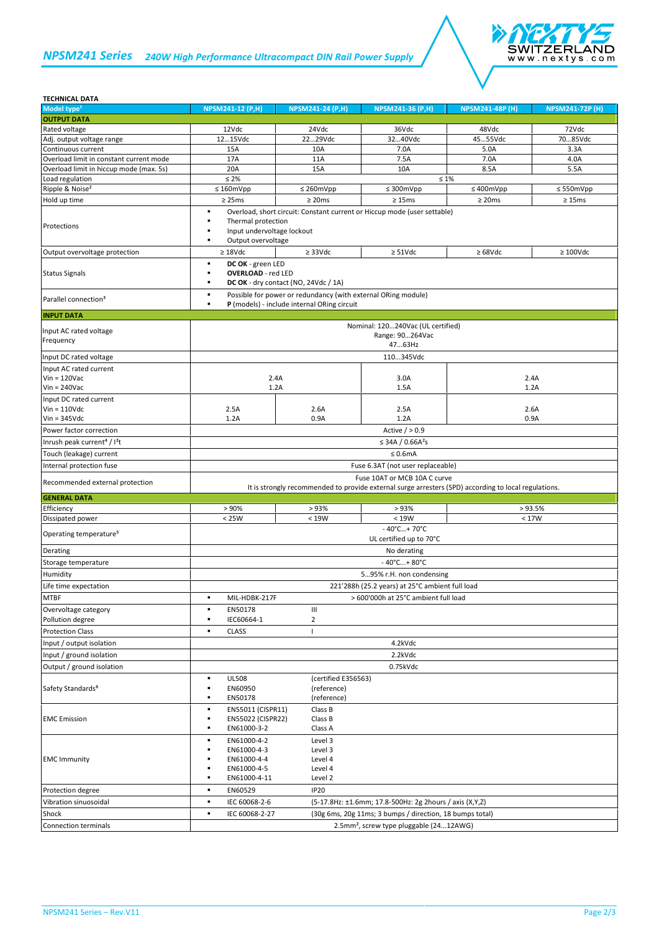# *NPSM241 Series 240W High Performance Ultracompact DIN Rail Power Supply*



## **TECHNICAL DATA**

| Model type <sup>1</sup>                             | <b>NPSM241-12 (P,H)</b>                                                                                                              | <b>NPSM241-24 (P,H)</b>                                       | <b>NPSM241-36 (P,H)</b>                                                  | $NPSM24\overline{1-48P(H)}$ | <b>NPSM241-72P (H)</b> |  |
|-----------------------------------------------------|--------------------------------------------------------------------------------------------------------------------------------------|---------------------------------------------------------------|--------------------------------------------------------------------------|-----------------------------|------------------------|--|
| <b>OUTPUT DATA</b>                                  |                                                                                                                                      |                                                               |                                                                          |                             |                        |  |
| Rated voltage                                       | 12Vdc                                                                                                                                | 24Vdc                                                         | 36Vdc                                                                    | 48Vdc                       | 72Vdc                  |  |
| Adj. output voltage range                           | 1215Vdc                                                                                                                              | 2229Vdc                                                       | 3240Vdc                                                                  | 4555Vdc                     | 7085Vdc                |  |
| Continuous current                                  | 15A                                                                                                                                  | 10A                                                           | 7.0A                                                                     | 5.0A                        | 3.3A                   |  |
| Overload limit in constant current mode             | 17A                                                                                                                                  | 11A                                                           | 7.5A                                                                     | 7.0A                        | 4.0A                   |  |
| Overload limit in hiccup mode (max. 5s)             | 20A                                                                                                                                  | 15A                                                           | 10A                                                                      | 8.5A                        | 5.5A                   |  |
| Load regulation                                     | $\leq 2\%$                                                                                                                           |                                                               |                                                                          | $\leq 1\%$                  |                        |  |
| Ripple & Noise <sup>2</sup>                         | $\leq 160$ mVpp                                                                                                                      | $\leq$ 260mVpp                                                | $\leq$ 300mVpp                                                           | $\leq 400$ mVpp             | $\leq$ 550mVpp         |  |
| Hold up time                                        | $\geq$ 25ms                                                                                                                          | $\geq$ 20ms                                                   | $\geq 15$ ms                                                             | $\geq$ 20ms                 | $\geq 15 \text{ms}$    |  |
|                                                     | ٠                                                                                                                                    |                                                               | Overload, short circuit: Constant current or Hiccup mode (user settable) |                             |                        |  |
| Protections                                         | ٠<br>Thermal protection                                                                                                              |                                                               |                                                                          |                             |                        |  |
|                                                     | Input undervoltage lockout                                                                                                           |                                                               |                                                                          |                             |                        |  |
|                                                     | Output overvoltage<br>٠                                                                                                              |                                                               |                                                                          |                             |                        |  |
| Output overvoltage protection                       | $\geq 18$ Vdc                                                                                                                        | $\geq$ 33Vdc                                                  | $\geq$ 51Vdc                                                             | $\geq 68$ Vdc               | $\geq 100$ Vdc         |  |
|                                                     | ٠<br>DC OK - green LED                                                                                                               |                                                               |                                                                          |                             |                        |  |
| <b>Status Signals</b>                               | <b>OVERLOAD</b> - red LED<br>٠                                                                                                       |                                                               |                                                                          |                             |                        |  |
|                                                     | ٠                                                                                                                                    | DC OK - dry contact (NO, 24Vdc / 1A)                          |                                                                          |                             |                        |  |
|                                                     | ٠                                                                                                                                    | Possible for power or redundancy (with external ORing module) |                                                                          |                             |                        |  |
| Parallel connection <sup>3</sup>                    | ٠                                                                                                                                    | P (models) - include internal ORing circuit                   |                                                                          |                             |                        |  |
| <b>INPUT DATA</b>                                   |                                                                                                                                      |                                                               |                                                                          |                             |                        |  |
|                                                     |                                                                                                                                      |                                                               | Nominal: 120240Vac (UL certified)                                        |                             |                        |  |
| Input AC rated voltage                              | Range: 90264Vac<br>4763Hz                                                                                                            |                                                               |                                                                          |                             |                        |  |
| Frequency                                           |                                                                                                                                      |                                                               |                                                                          |                             |                        |  |
| Input DC rated voltage                              |                                                                                                                                      | 110345Vdc                                                     |                                                                          |                             |                        |  |
|                                                     |                                                                                                                                      |                                                               |                                                                          |                             |                        |  |
| Input AC rated current<br>$Vin = 120$ Vac           | 2.4A                                                                                                                                 |                                                               | 3.0A                                                                     |                             | 2.4A                   |  |
| $Vin = 240$ Vac                                     | 1.2A                                                                                                                                 |                                                               | 1.5A                                                                     |                             | 1.2A                   |  |
|                                                     |                                                                                                                                      |                                                               |                                                                          |                             |                        |  |
| Input DC rated current                              |                                                                                                                                      |                                                               |                                                                          |                             |                        |  |
| $V$ in = 110 $V$ dc<br>$Vin = 345Vdc$               | 2.5A<br>1.2A                                                                                                                         | 2.6A<br>0.9A                                                  | 2.5A<br>1.2A                                                             |                             | 2.6A<br>0.9A           |  |
|                                                     |                                                                                                                                      |                                                               |                                                                          |                             |                        |  |
| Power factor correction                             | Active $/ > 0.9$                                                                                                                     |                                                               |                                                                          |                             |                        |  |
| Inrush peak current <sup>4</sup> / I <sup>2</sup> t | ≤ 34A / $0.66A^2s$                                                                                                                   |                                                               |                                                                          |                             |                        |  |
| Touch (leakage) current                             | $\leq 0.6$ mA                                                                                                                        |                                                               |                                                                          |                             |                        |  |
| Internal protection fuse                            | Fuse 6.3AT (not user replaceable)                                                                                                    |                                                               |                                                                          |                             |                        |  |
|                                                     | Fuse 10AT or MCB 10A C curve<br>It is strongly recommended to provide external surge arresters (SPD) according to local regulations. |                                                               |                                                                          |                             |                        |  |
| Recommended external protection                     |                                                                                                                                      |                                                               |                                                                          |                             |                        |  |
| <b>GENERAL DATA</b>                                 |                                                                                                                                      |                                                               |                                                                          |                             |                        |  |
| Efficiency                                          | > 90%                                                                                                                                | >93%                                                          | >93%                                                                     |                             | >93.5%                 |  |
| Dissipated power                                    | < 25W                                                                                                                                | < 19W                                                         | < 19W                                                                    |                             | < 17W                  |  |
|                                                     |                                                                                                                                      |                                                               | $-40^{\circ}$ C+70°C                                                     |                             |                        |  |
| Operating temperature <sup>5</sup>                  | UL certified up to 70°C                                                                                                              |                                                               |                                                                          |                             |                        |  |
| Derating                                            | No derating                                                                                                                          |                                                               |                                                                          |                             |                        |  |
| Storage temperature                                 |                                                                                                                                      |                                                               |                                                                          |                             |                        |  |
|                                                     | $-40^{\circ}$ C + 80 $^{\circ}$ C                                                                                                    |                                                               |                                                                          |                             |                        |  |
| Humidity                                            | 595% r.H. non condensing                                                                                                             |                                                               |                                                                          |                             |                        |  |
| Life time expectation                               | 221'288h (25.2 years) at 25°C ambient full load                                                                                      |                                                               |                                                                          |                             |                        |  |
| <b>MTBF</b>                                         | ٠<br>MIL-HDBK-217F                                                                                                                   |                                                               | > 600'000h at 25°C ambient full load                                     |                             |                        |  |
| Overvoltage category                                | EN50178<br>٠                                                                                                                         | Ш                                                             |                                                                          |                             |                        |  |
| Pollution degree                                    | IEC60664-1<br>٠                                                                                                                      | $\overline{2}$                                                |                                                                          |                             |                        |  |
| <b>Protection Class</b>                             | <b>CLASS</b><br>٠                                                                                                                    | $\mathbf{I}$                                                  |                                                                          |                             |                        |  |
| Input / output isolation                            |                                                                                                                                      |                                                               | 4.2kVdc                                                                  |                             |                        |  |
| Input / ground isolation                            |                                                                                                                                      |                                                               | 2.2kVdc                                                                  |                             |                        |  |
|                                                     |                                                                                                                                      |                                                               |                                                                          |                             |                        |  |
| Output / ground isolation                           |                                                                                                                                      |                                                               | 0.75kVdc                                                                 |                             |                        |  |
|                                                     | <b>UL508</b><br>٠                                                                                                                    | (certified E356563)                                           |                                                                          |                             |                        |  |
| Safety Standards <sup>6</sup>                       | EN60950                                                                                                                              | (reference)                                                   |                                                                          |                             |                        |  |
|                                                     | EN50178                                                                                                                              | (reference)                                                   |                                                                          |                             |                        |  |
|                                                     | EN55011 (CISPR11)<br>٠                                                                                                               | Class B                                                       |                                                                          |                             |                        |  |
| <b>EMC</b> Emission                                 | EN55022 (CISPR22)<br>٠                                                                                                               | Class B                                                       |                                                                          |                             |                        |  |
|                                                     | EN61000-3-2<br>٠                                                                                                                     | Class A                                                       |                                                                          |                             |                        |  |
|                                                     | EN61000-4-2<br>٠                                                                                                                     | Level 3                                                       |                                                                          |                             |                        |  |
|                                                     | EN61000-4-3                                                                                                                          | Level 3                                                       |                                                                          |                             |                        |  |
| <b>EMC Immunity</b>                                 | EN61000-4-4<br>٠                                                                                                                     | Level 4                                                       |                                                                          |                             |                        |  |
|                                                     | EN61000-4-5<br>٠                                                                                                                     | Level 4                                                       |                                                                          |                             |                        |  |
|                                                     | EN61000-4-11                                                                                                                         | Level 2                                                       |                                                                          |                             |                        |  |
| Protection degree                                   | ٠<br>EN60529                                                                                                                         | <b>IP20</b>                                                   |                                                                          |                             |                        |  |
| Vibration sinuosoidal                               | IEC 60068-2-6<br>٠                                                                                                                   |                                                               | (5-17.8Hz: ±1.6mm; 17.8-500Hz: 2g 2hours / axis (X,Y,Z)                  |                             |                        |  |
| Shock                                               | IEC 60068-2-27<br>(30g 6ms, 20g 11ms; 3 bumps / direction, 18 bumps total)<br>٠                                                      |                                                               |                                                                          |                             |                        |  |
| Connection terminals                                | 2.5mm <sup>2</sup> , screw type pluggable (2412AWG)                                                                                  |                                                               |                                                                          |                             |                        |  |
|                                                     |                                                                                                                                      |                                                               |                                                                          |                             |                        |  |